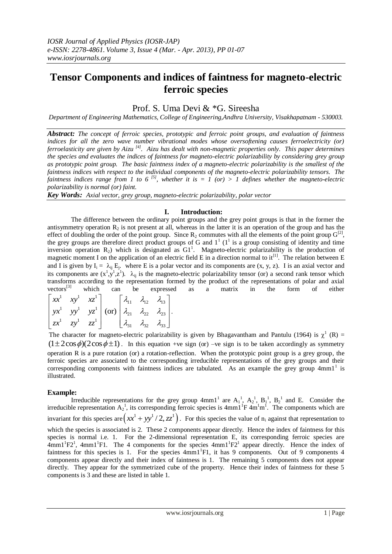# **Tensor Components and indices of faintness for magneto-electric ferroic species**

## Prof. S. Uma Devi & \*G. Sireesha

*Department of Engineering Mathematics, College of Engineering,Andhra University, Visakhapatnam - 530003.*

*Abstract: The concept of ferroic species, prototypic and ferroic point groups, and evaluation of faintness indices for all the zero wave number vibrational modes whose oversoftening causes ferroelectricity (or) ferroelasticity are given by Aizu [4] . Aizu has dealt with non-magnetic properties only. This paper determines the species and evaluates the indices of faintness for magneto-electric polarizability by considering grey group as prototypic point group. The basic faintness index of a magneto-electric polarizability is the smallest of the faintness indices with respect to the individual components of the magneto-electric polarizability tensors. The faintness indices range from 1 to 6* <sup>[5]</sup>, whether it is  $= 1$  (or)  $> 1$  defines whether the magneto-electric *polarizability is normal (or) faint.*

*Key Words: Axial vector, grey group, magneto-electric polarizability, polar vector*

#### **I. Introduction:**

The difference between the ordinary point groups and the grey point groups is that in the former the antisymmetry operation  $\mathbb{R}_2$  is not present at all, whereas in the latter it is an operation of the group and has the effect of doubling the order of the point group. Since  $R_2$  commutes with all the elements of the point group  $G^{[2]}$ , the grey groups are therefore direct product groups of G and  $1^1$  ( $1^1$  is a group consisting of identity and time inversion operation  $R_2$ ) which is designated as  $G1<sup>1</sup>$ . Magneto-electric polarizability is the production of magnetic moment I on the application of an electric field E in a direction normal to it<sup>[1]</sup>. The relation between E and I is given by  $I_i = \lambda_{ij} E_j$ , where E is a polar vector and its components are  $(x, y, z)$ . I is an axial vector and its components are  $(x^1, y^1, z^1)$ .  $\lambda_{ij}$  is the magneto-electric polarizability tensor (or) a second rank tensor which transforms according to the representation formed by the product of the representations of polar and axial  $vectors^{[3]}$  which can be expressed as a matrix in the form of either which *xectors*<sup>[3]</sup> be expressed

vectors<sup>[3]</sup> which can be expressed  
\n
$$
\begin{bmatrix} xx^1 & xy^1 & xz^1 \ yx^1 & yy^1 & yz^1 \ zx^1 & (or) \ \lambda_{21} & \lambda_{22} & \lambda_{23} \ \lambda_{31} & \lambda_{32} & \lambda_{33} \end{bmatrix}.
$$

The character for magneto-electric polarizability is given by Bhagavantham and Pantulu (1964) is  $\chi^1$  (R) = (1 ± 2cos  $\phi$ )(2cos  $\phi$  ± 1). In this equation +ve sign (or) –ve sign is to be taken accordingly as symmetry operation R is a pure rotation (or) a rotation-reflection. When the prototypic point group is a grey group, the ferroic species are associated to the corresponding irreducible representations of the grey groups and their corresponding components with faintness indices are tabulated. As an example the grey group 4mm1<sup>1</sup> is illustrated.

#### **Example:**

Irreducible representations for the grey group  $4mm1^1$  are  $A_1^1$ ,  $A_2^1$ ,  $B_1^1$ ,  $B_2^1$  and E. Consider the irreducible representation  $A_2^1$ , its corresponding ferroic species is  $4mm^1F 4m^1m^1$ . The components which are invariant for this species are  $(xx^1 + yy^1/2, zz^1)$ . For this species the value of n<sub>i</sub> against that representation to which the species is associated is 2. These 2 components appear directly. Hence the index of faintness for this species is normal i.e. 1. For the 2-dimensional representation E, its corresponding ferroic species are  $4mm1<sup>1</sup>F2<sup>1</sup>$ ,  $4mm1<sup>1</sup>F1$ . The 4 components for the species  $4mm1<sup>1</sup>F2<sup>1</sup>$  appear directly. Hence the index of faintness for this species is 1. For the species  $4mm1$ <sup>1</sup>F1, it has 9 components. Out of 9 components 4 components appear directly and their index of faintness is 1. The remaining 5 components does not appear directly. They appear for the symmetrized cube of the property. Hence their index of faintness for these 5 components is 3 and these are listed in table 1.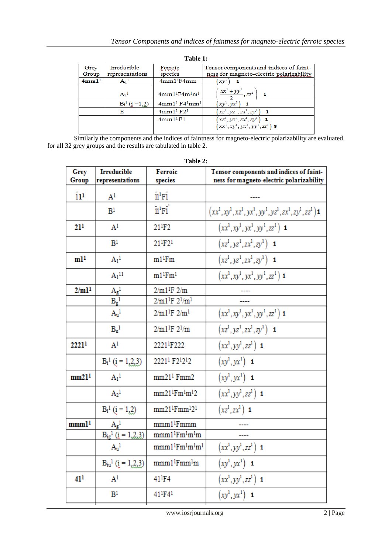| Grey              | Irreducible                 | Ferroic                           | Tensor components and indices of faint-  |
|-------------------|-----------------------------|-----------------------------------|------------------------------------------|
| Group             | representations             | species                           | ness for magneto-electric polarizability |
| 4mm1 <sup>1</sup> | A <sub>1</sub> <sup>1</sup> | 4mm1 <sup>1</sup> F4mm            | xv <sup>1</sup>                          |
|                   | $A2$ <sup>1</sup>           | $4mm11F4m1m1$                     | $(\frac{xx^1 + yy^1}{xz^2}, zz^1)$       |
|                   | $B_i^1$ (i =1,2)            | $4mm11 F41mm1$                    | $(xy^1, yx^1)$ 1                         |
|                   | Е                           | 4mm1 <sup>1</sup> F2 <sup>1</sup> | $(xz^1, yz^1, zx^1, zy^1)$ 1             |
|                   |                             | 4mm1 <sup>1</sup> F1              | $(xz^1, yz^1, zx^1, zy^1)$ 1             |
|                   |                             |                                   | $(xx^1, xy^1, yx^1, yy^1, zz^1)$ 3       |
|                   |                             |                                   |                                          |

**Table 1:**

 Similarly the components and the indices of faintness for magneto-electric polarizability are evaluated for all 32 grey groups and the results are tabulated in table 2.

| Table 2:                     |                             |                                                          |                                                            |
|------------------------------|-----------------------------|----------------------------------------------------------|------------------------------------------------------------|
| Grey                         | <b>Irreducible</b>          | Ferroic                                                  | Tensor components and indices of faint-                    |
| Group                        | representations             | species                                                  | ness for magneto-electric polarizability                   |
| $\overline{11}$ <sup>1</sup> | $\mathrm{A}^1$              | $11^{1}$ F1                                              |                                                            |
|                              | $\mathbb{B}^1$              | $11^{1}$ F1                                              | $(xx^1, xy^1, xz^1, yx^1, yy^1, yz^1, zx^1, zy^1, zz^1)$ 1 |
| 21 <sup>1</sup>              | A <sup>1</sup>              | $21$ <sup>1</sup> F <sub>2</sub>                         | $(xx^1, xy^1, yx^1, yy^1, zz^1)$ 1                         |
|                              | B <sup>1</sup>              | $21^{1}F2^{1}$                                           | $(xz^1, yz^1, zx^1, zy^1)$ 1                               |
| m1 <sup>1</sup>              | $A_1^1$                     | $m1$ <sup>1</sup> Fm                                     | $(xz^1, yz^1, zx^1, zy^1)$ 1                               |
|                              | $A_1$ <sup>11</sup>         | $m1^1$ F $m1$                                            | $(xx^1, xy^1, yx^1, yy^1, zz^1)$ 1                         |
| 2/ml <sup>1</sup>            |                             | $2/m1^{1}F$ $2/m$                                        |                                                            |
|                              | $\frac{A_g{}^l}{B_g{}^l}$   | $2/m1^{1}F 2^{1}/m^{1}$                                  |                                                            |
|                              | $A_u$ <sup>1</sup>          | $2/m1^{1}F 2/m^{1}$                                      | $\left(xx^{1},xy^{1},yx^{1},yy^{1},zz^{1}\right)$ 1        |
|                              | B <sub>u</sub> <sup>1</sup> | $2/m1^{1}F 2^{1}/m$                                      | $(xz^1, yz^1, zx^1, zy^1)$ 1                               |
| 2221 <sup>1</sup>            | A <sup>1</sup>              | 2221 <sup>1</sup> F222                                   | $(xx^1, yy^1, zz^1)$ 1                                     |
|                              | $B_i^1$ ( $i = 1, 2, 3$ )   | 2221 <sup>1</sup> F2 <sup>1</sup> 2 <sup>1</sup> 2       | $(xy^{1}, yx^{1})$ 1                                       |
| mm21 <sup>1</sup>            | $A_1$ <sup>1</sup>          | mm21 <sup>1</sup> Fmm2                                   | $(xy^1, yx^1)$ 1                                           |
|                              | $A_2^1$                     | $mm21$ <sup>1</sup> $Fm$ <sup>1</sup> $m$ <sup>1</sup> 2 | $(xx^1, yy^1, zz^1)$ 1                                     |
|                              | $B_i^1$ (i = 1,2)           | $mm21$ <sup>1</sup> $Fmm12$ <sup>1</sup>                 | $(xz^1, zx^1)$ 1                                           |
| mmm1 <sup>1</sup>            | $A_g^1$                     | mmm1 <sup>1</sup> Fmmm                                   |                                                            |
|                              | $B_{ig}^1$ ( $i = 1,2,3$ )  | $mmm1^1Fm^1m^1m$                                         |                                                            |
|                              | $A_u$ <sup>1</sup>          | $mmm1$ <sup>1</sup> $Fm1m1$ <sup>1</sup> m <sup>1</sup>  | $(xx^1,yy^1,zz^1)$ 1                                       |
|                              | $B_{iu}^1$ (i = 1,2,3)      | mmm1 <sup>1</sup> Fmm <sup>1</sup> m                     | $(xy^1, yx^1)$ 1                                           |
| 41 <sup>1</sup>              | $\mathrm{A}^1$              | 41 F 4                                                   | $(xx^1, yy^1, zz^1)$ 1                                     |
|                              | B <sup>1</sup>              | 41 <sup>1</sup> F4 <sup>1</sup>                          | $(xy^{1}, yx^{1})$ 1                                       |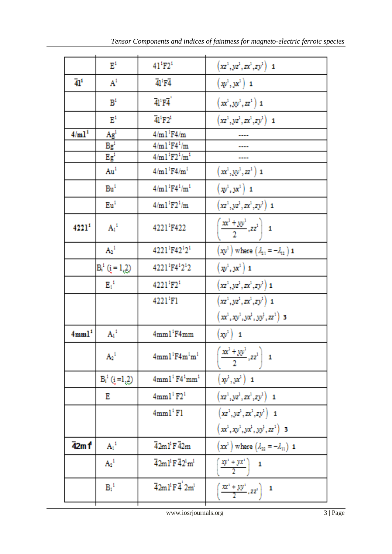|                   | $\mathbb{E}^1$        | $41^{1}F2^{1}$                                          | $(xz^1, yz^1, zx^1, zy^1)$ 1                                                                                                                    |
|-------------------|-----------------------|---------------------------------------------------------|-------------------------------------------------------------------------------------------------------------------------------------------------|
| 41 <sup>1</sup>   | A <sup>1</sup>        | $41'$ F4                                                | $(\mathbf{x}^1, \mathbf{y}^2)$ 1                                                                                                                |
|                   | B <sup>t</sup>        | $41^1$ F4                                               | $\left(\textit{xx}^1,\textit{yy}^1,\textit{zz}^1\right)$ 1                                                                                      |
|                   | $E^1$                 | 41 <sup>1</sup> F2 <sup>1</sup>                         | $(xz^1, yz^1, zx^1, zy^1)$ 1                                                                                                                    |
| 4/ml <sup>1</sup> | Ag <sup>1</sup>       | $4/ml$ <sup>1</sup> F4/m                                |                                                                                                                                                 |
|                   | $Bg^1$                | $4/m1$ <sup>1</sup> F4 <sup>1</sup> /m                  |                                                                                                                                                 |
|                   | $Eg^1$                | $4/m1^{1}F2^{1}/m^{1}$                                  |                                                                                                                                                 |
|                   |                       |                                                         |                                                                                                                                                 |
|                   | Au <sup>1</sup>       | $4/ml$ <sup>1</sup> $F4/m$ <sup>1</sup>                 | $(\textit{\textbf{x}}^{\textit{\text{1}}}, \textit{\text{y}}^{\textit{\text{1}}}, \textit{\text{z}}^{\textit{\text{2}}}^{\textit{\text{1}}})$ 1 |
|                   | Bu <sup>t</sup>       | $4/m1^{1}F4^{1}/m^{1}$                                  | $(\mathbf{x}^1, \mathbf{y}^2)$ 1                                                                                                                |
|                   | Eu <sup>1</sup>       | $4/m1^{1}F2^{1}/m$                                      | $(xz^1, yz^1, zx^1, zy^1)$ 1                                                                                                                    |
| 4221 <sup>1</sup> | $A_1^1$               | 4221 F422                                               | $\left(\frac{xx^1+yy^1}{2},zz^1\right)$ 1                                                                                                       |
|                   | $A_2{}^1$             | 4221'F42'2'                                             | $\left(xv^1\right)$ where $\left(\lambda_{21}=-\lambda_{12}\right)$ 1                                                                           |
|                   | $B_i^1$ ( $i = 1,2$ ) | 4221'F4'2'2                                             | $(\textbf{x}^1,\textbf{y}^2)$ 1                                                                                                                 |
|                   | $E_4^4$               | 4221'F21                                                | $\left(\overline{xz^1},\overline{yz^1},\overline{zx^1},\overline{zy^1}\right)\mathbf{1}$                                                        |
|                   |                       | 4221 <sup>1</sup> F1                                    | $(xz^1, yz^1, zx^1, zy^1)$ 1                                                                                                                    |
|                   |                       |                                                         | $(x^1, xy^1, yx^1, yy^1, zz^1)$ 3                                                                                                               |
| 4mm1 <sup>1</sup> | $A_1^1$               | $4mm1$ <sup>1</sup> $F4mm$                              | $(\mathbf{x} \mathbf{v}^1)$ 1                                                                                                                   |
|                   | $A_2{}^1$             | $4mm1$ <sup>1</sup> $F4m$ <sup>1</sup> $m$ <sup>1</sup> | $\left[\frac{xx^1 + yy^1}{2}, zz^1\right] = 1$                                                                                                  |
|                   | $B_i^1$ (i=1,2)       | 4mm1' F4'mm'                                            | $(\mathbf{x}^1, \mathbf{y}^2)$ 1                                                                                                                |
|                   | Е                     | 4mm1' F2'                                               | $(xz^1, yz^1, zx^1, zy^1)$ 1                                                                                                                    |
|                   |                       | $4mm1$ <sup>1</sup> F1                                  | $(xz^1, yz^1, zx^1, zy^1)$ 1                                                                                                                    |
|                   |                       |                                                         | $(x^1, xy^1, yx^1, yy^1, zz^1)$ 3                                                                                                               |
| 42m 1             | $A_1^1$               | $\overline{4}2m1$ <sup>1</sup> F $\overline{4}2m$       | $\left(xx^1\right)$ where $\left(\lambda_{22} = -\lambda_{11}\right)$ 1                                                                         |
|                   | $\Lambda_2{}^1$       | 42ml <sup>1</sup> F 42 <sup>1</sup> m <sup>1</sup>      | $\left[\frac{xy'' + yx''}{2}\right]$ 1                                                                                                          |
|                   | $B_1^{\ 1}$           | $\overline{4}2m1^1F\overline{4}2m^1$                    | $\left(\frac{xx^3 + yy^3}{2}, zz^3\right)$ 1                                                                                                    |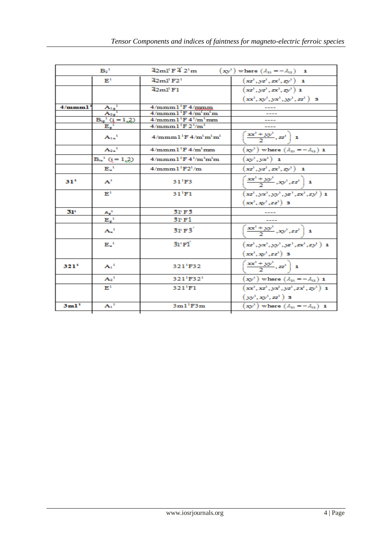| $B_2^1$          |                                                                                                                                                                                                                                                                                                                                                                                                                                | $\overline{4}2ml^1F\overline{4}^22'm$                           | $(\mathbf{x}y^1)$ where $(\lambda_{21} = -\lambda_{12})$ 1              |
|------------------|--------------------------------------------------------------------------------------------------------------------------------------------------------------------------------------------------------------------------------------------------------------------------------------------------------------------------------------------------------------------------------------------------------------------------------|-----------------------------------------------------------------|-------------------------------------------------------------------------|
|                  | $\mathbf{E}^1$                                                                                                                                                                                                                                                                                                                                                                                                                 | $\overline{4}2m1^1F2^1$                                         | $(xz^1, yz^1, zx^1, zy^1)$ 1                                            |
|                  |                                                                                                                                                                                                                                                                                                                                                                                                                                | $\overline{4}2m1$ <sup>t</sup> $F1$                             | $(xz^1, yz^1, zx^1, zy^1)$ 1                                            |
|                  |                                                                                                                                                                                                                                                                                                                                                                                                                                |                                                                 | $(xx^1, xy^1, yx^1, yy^1, zz^1)$ 3                                      |
| 4/mmm1           |                                                                                                                                                                                                                                                                                                                                                                                                                                | $4/mmm1$ <sup>1</sup> F $4/mmm$                                 |                                                                         |
|                  |                                                                                                                                                                                                                                                                                                                                                                                                                                | $4/mmm1$ <sup>1</sup> F $4/m1m1m$                               |                                                                         |
|                  |                                                                                                                                                                                                                                                                                                                                                                                                                                | $4/mmm1$ <sup>1</sup> F $4^{1}/m$ <sup>1</sup> mm               |                                                                         |
|                  |                                                                                                                                                                                                                                                                                                                                                                                                                                | $4/mmm1$ <sup>1</sup> F $2^{1}/m$ <sup>1</sup>                  |                                                                         |
|                  | $\begin{array}{c}\n\overbrace{\mathbf{A_1}_g}^{A_1} \phantom{ \mathbf{A_2}_g} \phantom{ \mathbf{A_3}_g} \phantom{ \mathbf{A_4}_g} \phantom{ \mathbf{A_5}_g} \phantom{ \mathbf{A_6}_g} \phantom{ \mathbf{A_7}_g} \phantom{ \mathbf{A_8}_g} \phantom{ \mathbf{A_9}_g} \phantom{ \mathbf{A_1}_g} \phantom{ \mathbf{A_1}_g} \phantom{ \mathbf{A_1}_g} \phantom{ \mathbf{A_2}_g} \phantom{ \mathbf{A_3}_g} \phantom{ \mathbf{A_1}_$ | $4/mmm1$ <sup>1</sup> F $4/m1m1m1$                              | $\left[\frac{xx^3+yy^3}{2},zz^3\right]$ 1                               |
|                  | $A_{2n}$ <sup>1</sup>                                                                                                                                                                                                                                                                                                                                                                                                          | $4/mmm1$ <sup>1</sup> F $4/m1mm$                                | $\left(xy^1\right)$ where $\left(\lambda_{21} = -\lambda_{12}\right)$ 1 |
|                  | $B_{in}^{-1}$ (i = 1,2)                                                                                                                                                                                                                                                                                                                                                                                                        | $4/mmm1$ <sup>1</sup> F $4^{1}/m$ <sup>1</sup> m <sup>1</sup> m | $(xy^1, yx^1)$ 1                                                        |
|                  | $E_u$ <sup>1</sup>                                                                                                                                                                                                                                                                                                                                                                                                             | $4/mmm1$ <sup>1</sup> $F2$ <sup>1</sup> /m                      | $(xz^1, yz^1, zx^1, zy^1)$ 1                                            |
| 31 <sup>1</sup>  | A <sup>1</sup>                                                                                                                                                                                                                                                                                                                                                                                                                 | 31 <sup>1</sup> F3                                              | $\left[\frac{xx^1 + yy^1}{2}, xy^1, zz^1\right]$ 1                      |
|                  | $\mathbb{R}^1$                                                                                                                                                                                                                                                                                                                                                                                                                 | 31 <sup>1</sup> F1                                              | $(xz^1, yx^1, yy^1, yz^1, zx^1, zy^1)$ 1                                |
|                  |                                                                                                                                                                                                                                                                                                                                                                                                                                |                                                                 | $(xx^1, xy^1, zz^1$ 3                                                   |
| 31'              |                                                                                                                                                                                                                                                                                                                                                                                                                                | 3PF3                                                            |                                                                         |
|                  | $\frac{A_g^{-1}}{E_g^{-1}}$                                                                                                                                                                                                                                                                                                                                                                                                    | 31 Fi                                                           |                                                                         |
|                  | $A_u$ <sup>1</sup>                                                                                                                                                                                                                                                                                                                                                                                                             | 3P F3                                                           | $\sqrt{\frac{xx^1 + yy^1}{2}}$ , $xy^1$ , $zz^1$   1                    |
|                  | $E_u$ <sup>1</sup>                                                                                                                                                                                                                                                                                                                                                                                                             | $31'$ FI                                                        | $(xz^1, yx^1, yy^1, yz^1, zx^1, zy^1)$ 1                                |
|                  |                                                                                                                                                                                                                                                                                                                                                                                                                                |                                                                 | $(xx^1, xv^1, zz^1$ 3                                                   |
| $321^{1}$        | $A_1$ <sup>1</sup>                                                                                                                                                                                                                                                                                                                                                                                                             | 321 F32                                                         | $\left(\frac{xx^3 + yy^3}{2}, zz^3\right)$ 1                            |
|                  | $A_2{}^1$                                                                                                                                                                                                                                                                                                                                                                                                                      | 321 <sup>1</sup> F32 <sup>1</sup>                               | $(\mathbf{x} \mathbf{y}^1)$ where $(\lambda_{21} = -\lambda_{12})$ 1    |
|                  | $\mathbb{R}^1$                                                                                                                                                                                                                                                                                                                                                                                                                 | $321^{1}$ F1                                                    | $(xx^1, xx^1, yx^1, yx^1, zx^1, zy^1)$ 1                                |
|                  |                                                                                                                                                                                                                                                                                                                                                                                                                                |                                                                 | $(y_0, x_0, zz^1)$ 3                                                    |
| 3m1 <sup>1</sup> | $A_1^1$                                                                                                                                                                                                                                                                                                                                                                                                                        | $3ml$ <sup>1</sup> $F3m$                                        | $(\mathbf{x} \mathbf{y}^1)$ where $(\lambda_{21} = -\lambda_{12})$ 1    |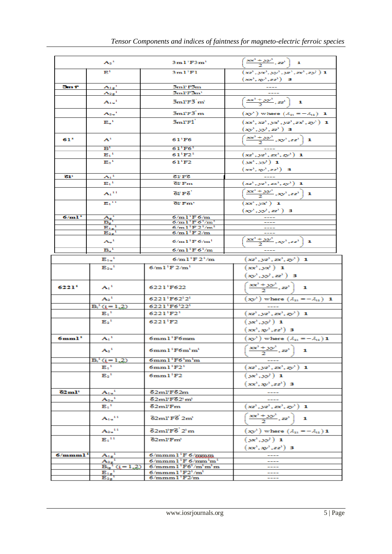|                                 | $A_2$ <sup>1</sup>                                                                        | $3ml$ <sup>1</sup> $F3m$ <sup>1</sup>                                  | $\left(\frac{xx^3 + yy^3}{2}, zz^3\right)$ 1                                                                      |
|---------------------------------|-------------------------------------------------------------------------------------------|------------------------------------------------------------------------|-------------------------------------------------------------------------------------------------------------------|
|                                 | $\mathbf{E}^1$                                                                            | 3ml'Fl                                                                 | $(xz^1, yx^1, yy^1, yz^1, zx^1, zy^1)$ 1                                                                          |
|                                 |                                                                                           |                                                                        | $(xx^1, xv^1, zz^1$ 3                                                                                             |
| 3m T                            | $A_{1g}^2$                                                                                | 3ml'F3m                                                                |                                                                                                                   |
|                                 | $A_{2g}^{-1}$                                                                             | $3m$ F $3m$ <sup>1</sup>                                               |                                                                                                                   |
|                                 | $A_{1u}$ <sup>1</sup>                                                                     | $3m$ $F3m$                                                             | $\left(\frac{xx^3 + yy^3}{2}, zz^3\right)$ 1                                                                      |
|                                 | $A_{2u}$ <sup>1</sup>                                                                     | $\bar{3}m$ l'F $\bar{3}$ m                                             | $(\mathbf{x} \mathbf{y}^1)$ where $(\lambda_{21} = -\lambda_{12})$ <b>1</b>                                       |
|                                 | $E_u$ <sup>1</sup>                                                                        | 3ml'Fi                                                                 | $(xx^1, xx^1, yx^1, yz^1, zx^1, zy^1)$ 1                                                                          |
|                                 |                                                                                           |                                                                        | $(xy^1, yy^2, zz^1)$ 3                                                                                            |
| 61 <sup>1</sup>                 | ${\bf A}^{\pm}$                                                                           | $61$ <sup>1</sup> F <sub>6</sub>                                       | $\left(\frac{xx^3 + yy^3}{2}, xy^3, zz^3\right)$ 1                                                                |
|                                 | $\mathbf{B}^1$                                                                            | $61^{1}F6^{1}$                                                         |                                                                                                                   |
|                                 | $E_1$ <sup>1</sup>                                                                        | $61^{1}F2^{1}$                                                         | $(xz^1, yz^1, zx^1, zy^1)$ 1                                                                                      |
|                                 | $E_2$ <sup>1</sup>                                                                        | $61$ <sup>1</sup> F <sub>2</sub>                                       | $(xx^1, yy^2)$ 1                                                                                                  |
|                                 |                                                                                           |                                                                        | $(xx^1, xy^1, zz^1$ 3                                                                                             |
| 61'                             | $A_1$ <sup>1</sup><br>$E_1$ <sup>1</sup>                                                  | 61 F6<br>$60$ Fm                                                       |                                                                                                                   |
|                                 |                                                                                           |                                                                        | $(xz^1, yz^1, zx^1, zy^1)$ 1                                                                                      |
|                                 | $A_1$ <sup>11</sup>                                                                       | 61' F6'                                                                | $\sqrt{\frac{xx^3 + yy^3}{2}}$ , $xy^3$ , $zz^3$ 1                                                                |
|                                 | $\mathbf{E_{1}}^{11}$                                                                     | 61 Fm <sup>1</sup>                                                     | $(xx^1, yx^1)$ 1                                                                                                  |
|                                 |                                                                                           |                                                                        | $(xy^1, yy^2, zz^1)$ 3                                                                                            |
| 6/m1 <sup>1</sup>               | $\frac{A_g^4}{B_g^4}$                                                                     | $6/ml$ <sup>1</sup> F $6/m$                                            |                                                                                                                   |
|                                 |                                                                                           | 6/m1'F6' /m'<br>6/m1'F2' /m'                                           |                                                                                                                   |
|                                 | $\frac{\mathbf{E}_{1g}^4}{\mathbf{E}_{2g}^4}$                                             | $6/ml$ <sup>1</sup> F $2/m$                                            |                                                                                                                   |
|                                 | $A^{-1}$                                                                                  | $6/m1^1F_0/m^1$                                                        | $\left[\frac{xx^3 + yy^3}{2}, xy^3, zz^3\right]$ 1                                                                |
|                                 | $B_u$ <sup>1</sup>                                                                        | $6/ml$ <sup>1</sup> F $6^1/m$                                          |                                                                                                                   |
|                                 |                                                                                           |                                                                        |                                                                                                                   |
|                                 | $E_{1u}^{-1}$                                                                             | $6/m1'F2'$ /m                                                          | $(xz^1, yz^1, zx^1, zy^1)$ 1                                                                                      |
|                                 | ${{\bf E}_{2{\bf u}}}^1$                                                                  | $6/m1^{1}F2/m^{1}$                                                     | $(xx^1, yx^1)$ 1                                                                                                  |
|                                 |                                                                                           |                                                                        | $(xy^1, yy^2, zz^1)$ 3                                                                                            |
| 6221 <sup>1</sup>               | $\mathbf{A}_1$ <sup>1</sup>                                                               | 6221 F622                                                              | $\left(\frac{xx^3 + yy^3}{2}, zz^3\right)$ 1                                                                      |
|                                 | $A_2$ <sup>1</sup>                                                                        | 6221'F62'2'                                                            | $(\mathbf{x} \mathbf{y}^1)$ where $(\lambda_{21} = -\lambda_{12})$ <b>1</b>                                       |
|                                 | $B_i^4$ (i = 1.2)                                                                         | 6221'F6'22'                                                            |                                                                                                                   |
|                                 | $E_1$ <sup>1</sup>                                                                        | 6221 <sup>1</sup> F2 <sup>1</sup>                                      | $(xz^1, yz^1, zx^1, zy^1)$ 1                                                                                      |
|                                 | $E_2$ <sup>1</sup>                                                                        | 6221'F2                                                                | $(x^1, y^1)$ 1                                                                                                    |
|                                 |                                                                                           |                                                                        | $(xx^1, xy^1, zz^1)$ 3                                                                                            |
| 6mm1 <sup>1</sup>               | $A_1$ <sup>1</sup>                                                                        | $6mm1$ <sup>1</sup> F6mm                                               | $\left(\textbf{x} \boldsymbol{y}^1 \right)$ where $\left(\mathcal{X}_{21} = -\mathcal{X}_{12} \right) \mathbf{1}$ |
|                                 |                                                                                           |                                                                        | $\left[\frac{xx^1+yy^1}{2},zz^1\right]$ 1                                                                         |
|                                 | $A_2$ <sup>1</sup>                                                                        | $6mm1$ <sup>1</sup> F $6m$ <sup>1</sup> m <sup>1</sup>                 | $\mathbf{2}$                                                                                                      |
|                                 | $B_i^1(i=1,2)$                                                                            | 6mm1'F6'm'm                                                            |                                                                                                                   |
|                                 | $E_1$ <sup>1</sup>                                                                        | $6mm1$ <sup>1</sup> $F2$ <sup>1</sup>                                  | $(xz^1, yz^1, zx^1, zy^1)$ 1                                                                                      |
|                                 | $E_2$ <sup>1</sup>                                                                        | $6mm1$ <sup>1</sup> $F2$                                               | $(x^2, y^2)$ 1                                                                                                    |
|                                 |                                                                                           |                                                                        | $(xx^1, xy^1, zz^1$ 3                                                                                             |
| $62 \text{m}$ <sup>1</sup>      | $A_{1u}^{-1}$                                                                             | $62m$ PF $62m$                                                         |                                                                                                                   |
|                                 | $A_{2u}$ <sup>1</sup>                                                                     | 62ml'F62'm'                                                            |                                                                                                                   |
|                                 | $\mathbf{E}_{\mathbf{t}}^{-1}$                                                            | $62m$ P $Fm$                                                           | $(xz^1, yz^1, zx^1, zy^1)$ 1                                                                                      |
|                                 | $A_{1u}$ <sup>11</sup>                                                                    | $62$ ml <sup>1</sup> F $6$ $2$ m <sup>1</sup>                          | $\left[\frac{xx^3 + yy^3}{2}, zz^3\right]$ 1                                                                      |
|                                 | $A_{2u}$ <sup>11</sup>                                                                    | $\bar{6}2ml$ <sup>1</sup> $F\bar{6}$ <sup>1</sup> $2$ <sup>1</sup> $m$ | $(\mathbf{x} \mathbf{y}^1)$ where $(\lambda_{21} = -\lambda_{12})$ 1                                              |
|                                 | $E_1$ <sup>11</sup>                                                                       | $62m$ P $Fm$ <sup>1</sup>                                              | $(x^1, y^2)$ 1                                                                                                    |
|                                 |                                                                                           |                                                                        | $(xx^1, xv^1, zz^1)$ 3                                                                                            |
| 6/mmm <sub>1</sub> <sup>1</sup> | $\frac{A_{1g}^1}{A_{1g}^1}$                                                               | $6/mmm1$ <sup>1</sup> F $6/mmm$                                        |                                                                                                                   |
|                                 | $\frac{{{\overline {{\bf A}}_2}_g}^1}{ {{\overline {\bf B}}_{ig}}^1\left( i=1,2 \right)}$ | $6/mmm1$ <sup>1</sup> F $6/mm1$                                        |                                                                                                                   |
|                                 |                                                                                           | $6/mmm1$ <sup>1</sup> F6 <sup>1</sup> /m <sup>1</sup> m <sup>1</sup> m |                                                                                                                   |
|                                 |                                                                                           | $6/mmm1$ <sup>1</sup> $F21/m1$                                         |                                                                                                                   |
|                                 | $\frac{\overbrace{\mathbf{E_{1g}}_1}^1}{\mathbf{E_{2g}}_1}$                               | $6/mmm1$ <sup>1</sup> $F2/m$                                           |                                                                                                                   |
|                                 |                                                                                           |                                                                        |                                                                                                                   |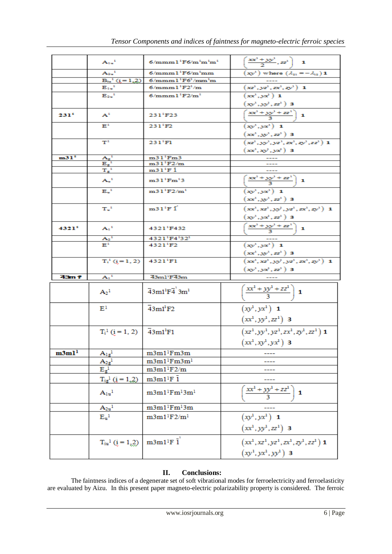|                   | $A_{1u}$ <sup>1</sup>                                                                    | $6/mmm1$ <sup>1</sup> F $6/m$ <sup>1</sup> m <sup>1</sup> m <sup>1</sup>    | $\left(\frac{xx^1 + yy^1}{2}, zz^1\right)$ 1                         |
|-------------------|------------------------------------------------------------------------------------------|-----------------------------------------------------------------------------|----------------------------------------------------------------------|
|                   | $A_{2u}$ <sup>1</sup>                                                                    | $6/mmm1$ <sup>1</sup> F6/m <sup>1</sup> mm                                  | $(\mathbf{x} \mathbf{y}^1)$ where $(\lambda_{21} = -\lambda_{12})$ 1 |
|                   |                                                                                          | $B_{ia}^1$ (i = 1.2) 6/mmm1 <sup>1</sup> F6 <sup>1</sup> /mm <sup>1</sup> m |                                                                      |
|                   | $E_{\rm{tu}}^{\rm{1}}$                                                                   | $6/mmm1$ <sup>1</sup> $F21/m$                                               | $(xz^1, yz^1, zx^1, zy^1)$ 1                                         |
|                   | $E_{2u}$ <sup>1</sup>                                                                    | $6/mmm1$ <sup>1</sup> $F2/m$ <sup>1</sup>                                   | $\left(\overline{xx^1}, \overline{yx^1}\right)$ 1                    |
|                   |                                                                                          |                                                                             | $(xy^1, yy^2, zz^1)$ 3                                               |
| 2311              | ${\bf A}^{\pm}$                                                                          | 231 <sup>1</sup> F23                                                        | $\left(\frac{xx^3 + yy^3 + zz^3}{3}\right)$ 1                        |
|                   | $\mathbf{E}^1$                                                                           | $231^{1}F2$                                                                 | $(xy^{1}, yx^{1})$ 1                                                 |
|                   |                                                                                          |                                                                             | $(xx^1, xx^1, zz^1)$ 3                                               |
|                   | $T^1$                                                                                    | $231$ <sup>1</sup> $F1$                                                     | $(xz^1, yy^1, yz^1, zx^1, zy^1, zz^1)$ 1                             |
|                   |                                                                                          |                                                                             | $(xx^1, xx^2, yx^3)$ 3                                               |
| m31 <sup>1</sup>  |                                                                                          | $m31$ <sup>1</sup> Fm3                                                      |                                                                      |
|                   |                                                                                          | $m31$ <sup>1</sup> F2/m                                                     |                                                                      |
|                   | $\begin{array}{l} A_{\rm g}^{-1} \\ \hline E_{\rm g}^{-1} \\ T_{\rm g}^{-1} \end{array}$ | m31'F1                                                                      |                                                                      |
|                   | $A_{\alpha}^{\;\;i}$                                                                     | $m31$ <sup>1</sup> $Fm$ <sup>1</sup> 3                                      | $\left(\frac{xx^3 + yy^3 + zz^3}{3}\right)$ 1                        |
|                   | $E_u^{-1}$                                                                               | $m31$ <sup>1</sup> F2/m <sup>1</sup>                                        | $(xy^{1}, yx^{1})$ 1                                                 |
|                   |                                                                                          |                                                                             | $(xx^1, xx^1, zz^1)$ 3                                               |
|                   | $T_u$ <sup>1</sup>                                                                       | $m31$ <sup>1</sup> F I                                                      | $(xx^1, xx^1, yy^1, yx^1, zx^1, zy^1)$ 1                             |
|                   |                                                                                          |                                                                             | $(xy^1, yx^2, zz^1)$ 3                                               |
| 43211             | $A_1^1$                                                                                  | 4321 F432                                                                   | $\left(\frac{xx^1 + yy^1 + zz^1}{3}\right)$ 1                        |
|                   | $\frac{A_2^4}{E^4}$                                                                      | 4321 <sup>1</sup> F4 <sup>1</sup> 32 <sup>1</sup>                           |                                                                      |
|                   |                                                                                          | 4321 <sup>1</sup> F2                                                        | $(xy^1, yx^1)$ 1                                                     |
|                   |                                                                                          |                                                                             | $(xx^1, xx^1, zz^1)$ 3                                               |
|                   | $T_i^1$ (i=1,2) 4321 <sup>1</sup> F1                                                     |                                                                             | $(xx^1, xx^1, yy^1, yx^1, zx^1, zy^1)$ 1                             |
| 43m 1             | ${\bf A_1}^1$                                                                            | 43ml <sup>*</sup> F43m                                                      | $(xv^1, yx^2, zz^1)$ 3                                               |
|                   |                                                                                          |                                                                             |                                                                      |
|                   | A <sub>2</sub> <sup>1</sup>                                                              | $\overline{4}3m1^{1}F\overline{4}^{1}3m^{1}$                                | $\left(\frac{xx^1 + yy^1 + zz^1}{3}\right)$ 1                        |
|                   | $E^1$                                                                                    | $\overline{4}3m1$ <sup>1</sup> F <sub>2</sub>                               | $(xy^{1}, yx^{1})$ 1                                                 |
|                   |                                                                                          |                                                                             |                                                                      |
|                   |                                                                                          |                                                                             | $(xx^1, yy^1, zz^1)$ 3                                               |
|                   | $T_i^1$ ( $i = 1, 2$ ) $\overline{4}3ml^1F1$                                             |                                                                             | $(xz^1, yy^1, yz^1, zx^1, zy^1, zz^1)$ 1                             |
|                   |                                                                                          |                                                                             | $(xx^1, xy^1, yx^1)$ 3                                               |
| m3m1 <sup>1</sup> | $A_{lg}^1$                                                                               | m3m1 <sup>1</sup> Fm3m                                                      |                                                                      |
|                   | $A_{2g}^{\phantom{-1}}$                                                                  | $m3m1^1Fm3m^1$                                                              |                                                                      |
|                   | $E_{\rm g}$ <sup>1</sup>                                                                 | $m3m1$ <sup>1</sup> F2/m                                                    |                                                                      |
|                   | $T_{ig}^1(i = 1, 2)$                                                                     | $m3m1^1F\bar{1}$                                                            |                                                                      |
|                   |                                                                                          |                                                                             |                                                                      |
|                   | $A_{1u}$ <sup>1</sup>                                                                    | m3m1 <sup>1</sup> Fm <sup>1</sup> 3m <sup>1</sup>                           | $\left(\frac{xx^1 + yy^1 + zz^1}{3}\right)$ 1                        |
|                   | $A_{2u}$ <sup>1</sup>                                                                    | $m3m1^1Fm^13m$                                                              |                                                                      |
|                   | $E_u$ <sup>1</sup>                                                                       | $m3m1^1F2/m^1$                                                              | $(xy^1, yx^1)$ 1                                                     |
|                   |                                                                                          |                                                                             |                                                                      |
|                   |                                                                                          |                                                                             | $(xx^1, yy^1, zz^1)$ 3                                               |
|                   | $T_{iu}^1$ (i = 1,2)<br>$\big $ m3m1^lF i $\big $                                        |                                                                             | $(xx^1, xz^1, yz^1, zx^1, zy^1, zz^1)$ 1                             |
|                   |                                                                                          |                                                                             | $(xy^1, yx^1, yy^1)$ 3                                               |
|                   |                                                                                          |                                                                             |                                                                      |

### **II. Conclusions:**

The faintness indices of a degenerate set of soft vibrational modes for ferroelectricity and ferroelasticity are evaluated by Aizu. In this present paper magneto-electric polarizability property is considered. The ferroic

 $\overline{\phantom{a}}$